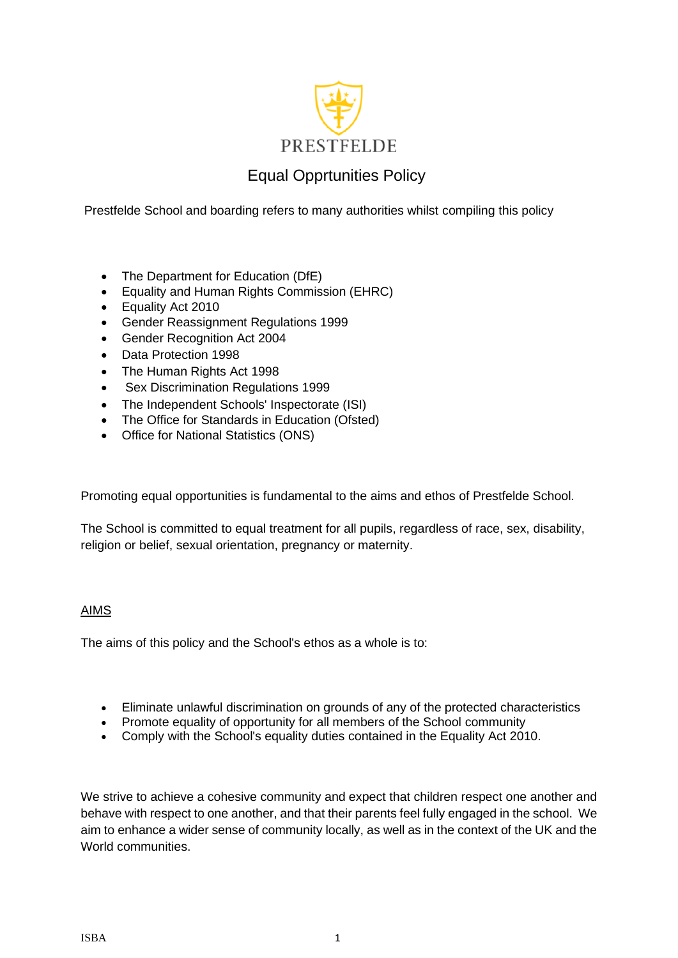

# Equal Opprtunities Policy

Prestfelde School and boarding refers to many authorities whilst compiling this policy

- The Department for Education (DfE)
- Equality and Human Rights Commission (EHRC)
- Equality Act 2010
- Gender Reassignment Regulations 1999
- Gender Recognition Act 2004
- Data Protection 1998
- The Human Rights Act 1998
- Sex Discrimination Regulations 1999
- The Independent Schools' Inspectorate (ISI)
- The Office for Standards in Education (Ofsted)
- Office for National Statistics (ONS)

Promoting equal opportunities is fundamental to the aims and ethos of Prestfelde School.

The School is committed to equal treatment for all pupils, regardless of race, sex, disability, religion or belief, sexual orientation, pregnancy or maternity.

# AIMS

The aims of this policy and the School's ethos as a whole is to:

- Eliminate unlawful discrimination on grounds of any of the protected characteristics
- Promote equality of opportunity for all members of the School community
- Comply with the School's equality duties contained in the Equality Act 2010.

We strive to achieve a cohesive community and expect that children respect one another and behave with respect to one another, and that their parents feel fully engaged in the school. We aim to enhance a wider sense of community locally, as well as in the context of the UK and the World communities.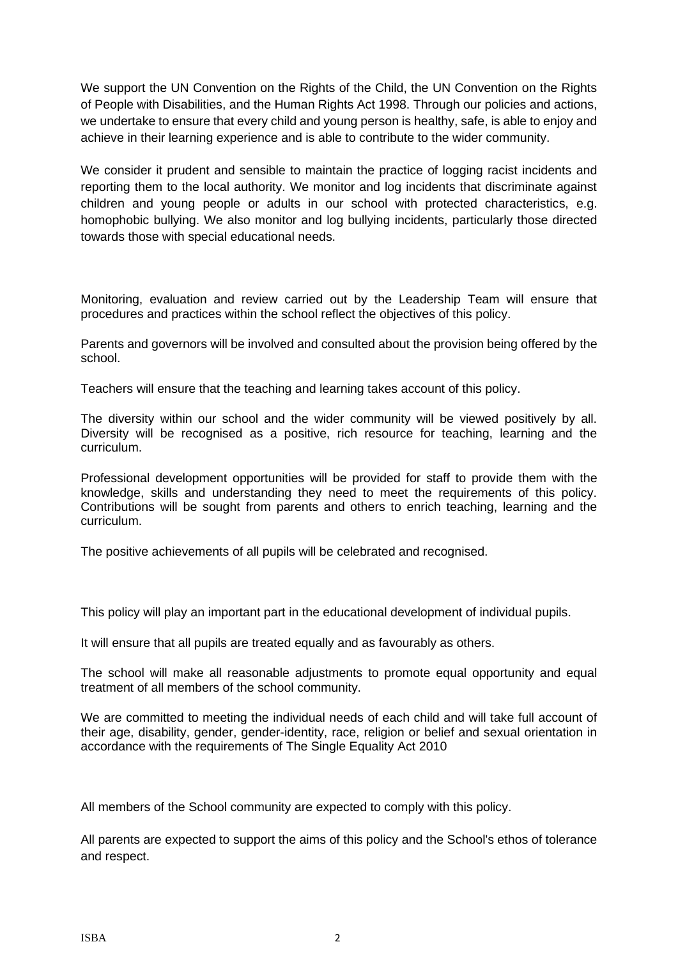We support the UN Convention on the Rights of the Child, the UN Convention on the Rights of People with Disabilities, and the Human Rights Act 1998. Through our policies and actions, we undertake to ensure that every child and young person is healthy, safe, is able to enjoy and achieve in their learning experience and is able to contribute to the wider community.

We consider it prudent and sensible to maintain the practice of logging racist incidents and reporting them to the local authority. We monitor and log incidents that discriminate against children and young people or adults in our school with protected characteristics, e.g. homophobic bullying. We also monitor and log bullying incidents, particularly those directed towards those with special educational needs.

Monitoring, evaluation and review carried out by the Leadership Team will ensure that procedures and practices within the school reflect the objectives of this policy.

Parents and governors will be involved and consulted about the provision being offered by the school.

Teachers will ensure that the teaching and learning takes account of this policy.

The diversity within our school and the wider community will be viewed positively by all. Diversity will be recognised as a positive, rich resource for teaching, learning and the curriculum.

Professional development opportunities will be provided for staff to provide them with the knowledge, skills and understanding they need to meet the requirements of this policy. Contributions will be sought from parents and others to enrich teaching, learning and the curriculum.

The positive achievements of all pupils will be celebrated and recognised.

This policy will play an important part in the educational development of individual pupils.

It will ensure that all pupils are treated equally and as favourably as others.

The school will make all reasonable adjustments to promote equal opportunity and equal treatment of all members of the school community.

We are committed to meeting the individual needs of each child and will take full account of their age, disability, gender, gender-identity, race, religion or belief and sexual orientation in accordance with the requirements of The Single Equality Act 2010

All members of the School community are expected to comply with this policy.

All parents are expected to support the aims of this policy and the School's ethos of tolerance and respect.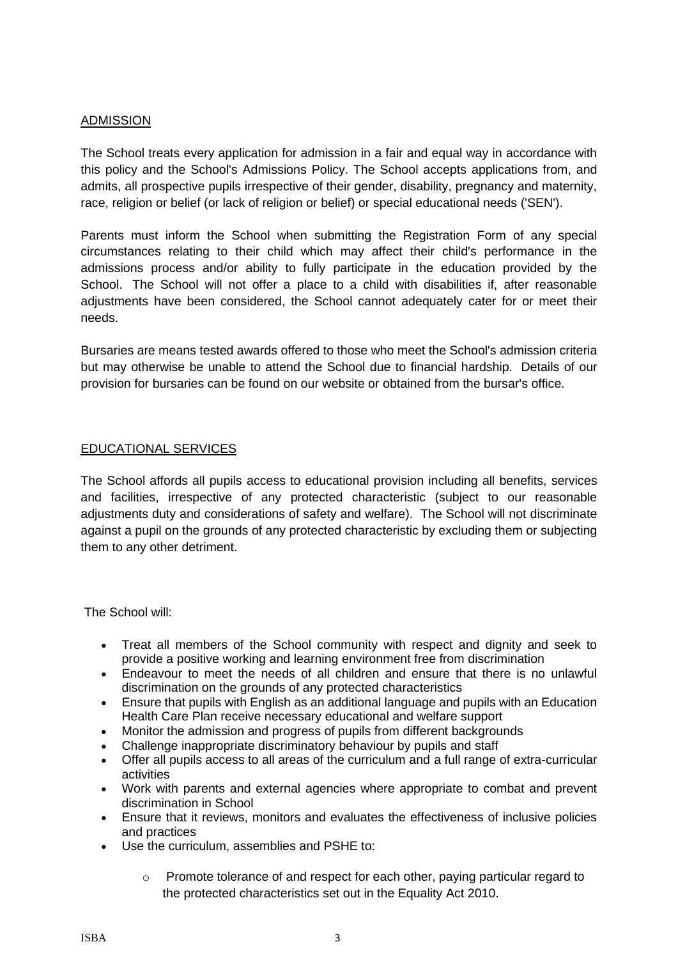### ADMISSION

The School treats every application for admission in a fair and equal way in accordance with this policy and the School's Admissions Policy. The School accepts applications from, and admits, all prospective pupils irrespective of their gender, disability, pregnancy and maternity, race, religion or belief (or lack of religion or belief) or special educational needs ('SEN').

Parents must inform the School when submitting the Registration Form of any special circumstances relating to their child which may affect their child's performance in the admissions process and/or ability to fully participate in the education provided by the School. The School will not offer a place to a child with disabilities if, after reasonable adjustments have been considered, the School cannot adequately cater for or meet their needs.

Bursaries are means tested awards offered to those who meet the School's admission criteria but may otherwise be unable to attend the School due to financial hardship. Details of our provision for bursaries can be found on our website or obtained from the bursar's office.

## EDUCATIONAL SERVICES

The School affords all pupils access to educational provision including all benefits, services and facilities, irrespective of any protected characteristic (subject to our reasonable adjustments duty and considerations of safety and welfare). The School will not discriminate against a pupil on the grounds of any protected characteristic by excluding them or subjecting them to any other detriment.

The School will:

- Treat all members of the School community with respect and dignity and seek to provide a positive working and learning environment free from discrimination
- Endeavour to meet the needs of all children and ensure that there is no unlawful discrimination on the grounds of any protected characteristics
- Ensure that pupils with English as an additional language and pupils with an Education Health Care Plan receive necessary educational and welfare support
- Monitor the admission and progress of pupils from different backgrounds
- Challenge inappropriate discriminatory behaviour by pupils and staff
- Offer all pupils access to all areas of the curriculum and a full range of extra-curricular activities
- Work with parents and external agencies where appropriate to combat and prevent discrimination in School
- Ensure that it reviews, monitors and evaluates the effectiveness of inclusive policies and practices
- Use the curriculum, assemblies and PSHE to:
	- o Promote tolerance of and respect for each other, paying particular regard to the protected characteristics set out in the Equality Act 2010.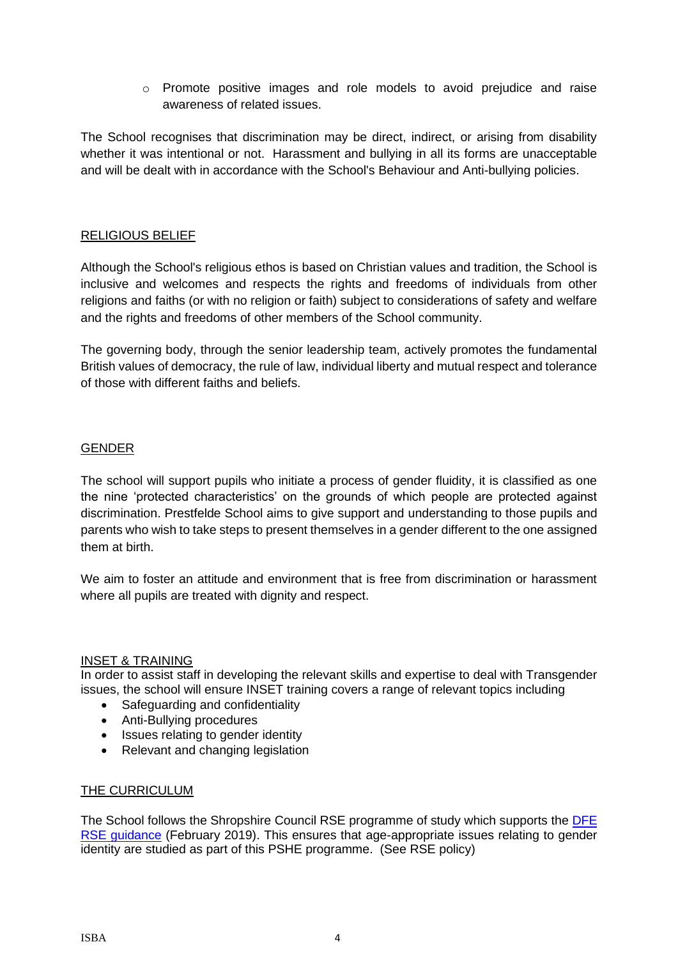o Promote positive images and role models to avoid prejudice and raise awareness of related issues.

The School recognises that discrimination may be direct, indirect, or arising from disability whether it was intentional or not. Harassment and bullying in all its forms are unacceptable and will be dealt with in accordance with the School's Behaviour and Anti-bullying policies.

#### RELIGIOUS BELIEF

Although the School's religious ethos is based on Christian values and tradition, the School is inclusive and welcomes and respects the rights and freedoms of individuals from other religions and faiths (or with no religion or faith) subject to considerations of safety and welfare and the rights and freedoms of other members of the School community.

The governing body, through the senior leadership team, actively promotes the fundamental British values of democracy, the rule of law, individual liberty and mutual respect and tolerance of those with different faiths and beliefs.

## GENDER

The school will support pupils who initiate a process of gender fluidity, it is classified as one the nine 'protected characteristics' on the grounds of which people are protected against discrimination. Prestfelde School aims to give support and understanding to those pupils and parents who wish to take steps to present themselves in a gender different to the one assigned them at birth.

We aim to foster an attitude and environment that is free from discrimination or harassment where all pupils are treated with dignity and respect.

#### INSET & TRAINING

In order to assist staff in developing the relevant skills and expertise to deal with Transgender issues, the school will ensure INSET training covers a range of relevant topics including

- Safeguarding and confidentiality
- Anti-Bullying procedures
- Issues relating to gender identity
- Relevant and changing legislation

#### THE CURRICULUM

The School follows the Shropshire Council RSE programme of study which supports the [DFE](https://assets.publishing.service.gov.uk/government/uploads/system/uploads/attachment_data/file/908013/Relationships_Education__Relationships_and_Sex_Education__RSE__and_Health_Education.pdf)  [RSE guidance](https://assets.publishing.service.gov.uk/government/uploads/system/uploads/attachment_data/file/908013/Relationships_Education__Relationships_and_Sex_Education__RSE__and_Health_Education.pdf) (February 2019). This ensures that age-appropriate issues relating to gender identity are studied as part of this PSHE programme. (See RSE policy)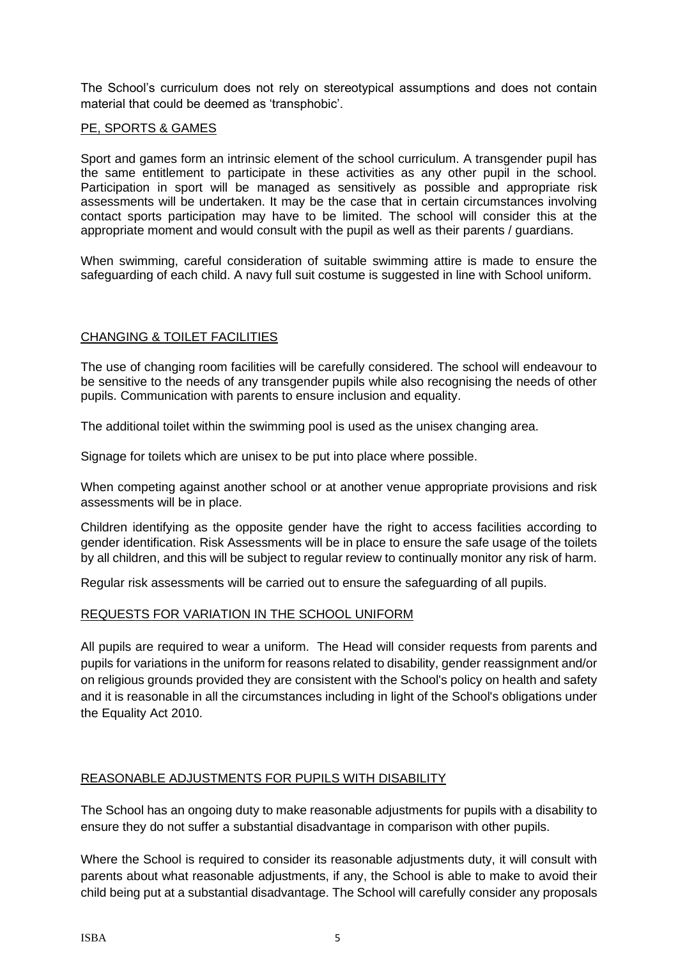The School's curriculum does not rely on stereotypical assumptions and does not contain material that could be deemed as 'transphobic'.

## PE, SPORTS & GAMES

Sport and games form an intrinsic element of the school curriculum. A transgender pupil has the same entitlement to participate in these activities as any other pupil in the school. Participation in sport will be managed as sensitively as possible and appropriate risk assessments will be undertaken. It may be the case that in certain circumstances involving contact sports participation may have to be limited. The school will consider this at the appropriate moment and would consult with the pupil as well as their parents / guardians.

When swimming, careful consideration of suitable swimming attire is made to ensure the safeguarding of each child. A navy full suit costume is suggested in line with School uniform.

## CHANGING & TOILET FACILITIES

The use of changing room facilities will be carefully considered. The school will endeavour to be sensitive to the needs of any transgender pupils while also recognising the needs of other pupils. Communication with parents to ensure inclusion and equality.

The additional toilet within the swimming pool is used as the unisex changing area.

Signage for toilets which are unisex to be put into place where possible.

When competing against another school or at another venue appropriate provisions and risk assessments will be in place.

Children identifying as the opposite gender have the right to access facilities according to gender identification. Risk Assessments will be in place to ensure the safe usage of the toilets by all children, and this will be subject to regular review to continually monitor any risk of harm.

Regular risk assessments will be carried out to ensure the safeguarding of all pupils.

#### REQUESTS FOR VARIATION IN THE SCHOOL UNIFORM

All pupils are required to wear a uniform. The Head will consider requests from parents and pupils for variations in the uniform for reasons related to disability, gender reassignment and/or on religious grounds provided they are consistent with the School's policy on health and safety and it is reasonable in all the circumstances including in light of the School's obligations under the Equality Act 2010.

#### REASONABLE ADJUSTMENTS FOR PUPILS WITH DISABILITY

The School has an ongoing duty to make reasonable adjustments for pupils with a disability to ensure they do not suffer a substantial disadvantage in comparison with other pupils.

Where the School is required to consider its reasonable adjustments duty, it will consult with parents about what reasonable adjustments, if any, the School is able to make to avoid their child being put at a substantial disadvantage. The School will carefully consider any proposals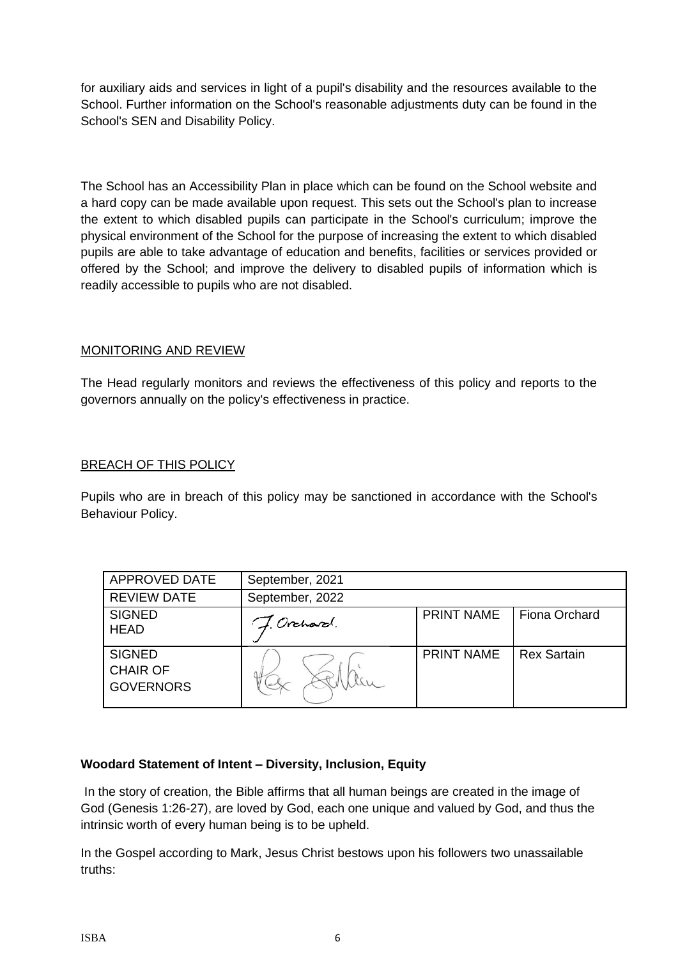for auxiliary aids and services in light of a pupil's disability and the resources available to the School. Further information on the School's reasonable adjustments duty can be found in the School's SEN and Disability Policy.

The School has an Accessibility Plan in place which can be found on the School website and a hard copy can be made available upon request. This sets out the School's plan to increase the extent to which disabled pupils can participate in the School's curriculum; improve the physical environment of the School for the purpose of increasing the extent to which disabled pupils are able to take advantage of education and benefits, facilities or services provided or offered by the School; and improve the delivery to disabled pupils of information which is readily accessible to pupils who are not disabled.

# MONITORING AND REVIEW

The Head regularly monitors and reviews the effectiveness of this policy and reports to the governors annually on the policy's effectiveness in practice.

# BREACH OF THIS POLICY

Pupils who are in breach of this policy may be sanctioned in accordance with the School's Behaviour Policy.

| APPROVED DATE                                        | September, 2021 |                   |                    |
|------------------------------------------------------|-----------------|-------------------|--------------------|
| <b>REVIEW DATE</b>                                   | September, 2022 |                   |                    |
| <b>SIGNED</b><br><b>HEAD</b>                         | J. Orchard.     | <b>PRINT NAME</b> | Fiona Orchard      |
| <b>SIGNED</b><br><b>CHAIR OF</b><br><b>GOVERNORS</b> |                 | <b>PRINT NAME</b> | <b>Rex Sartain</b> |

# **Woodard Statement of Intent – Diversity, Inclusion, Equity**

In the story of creation, the Bible affirms that all human beings are created in the image of God (Genesis 1:26-27), are loved by God, each one unique and valued by God, and thus the intrinsic worth of every human being is to be upheld.

In the Gospel according to Mark, Jesus Christ bestows upon his followers two unassailable truths: